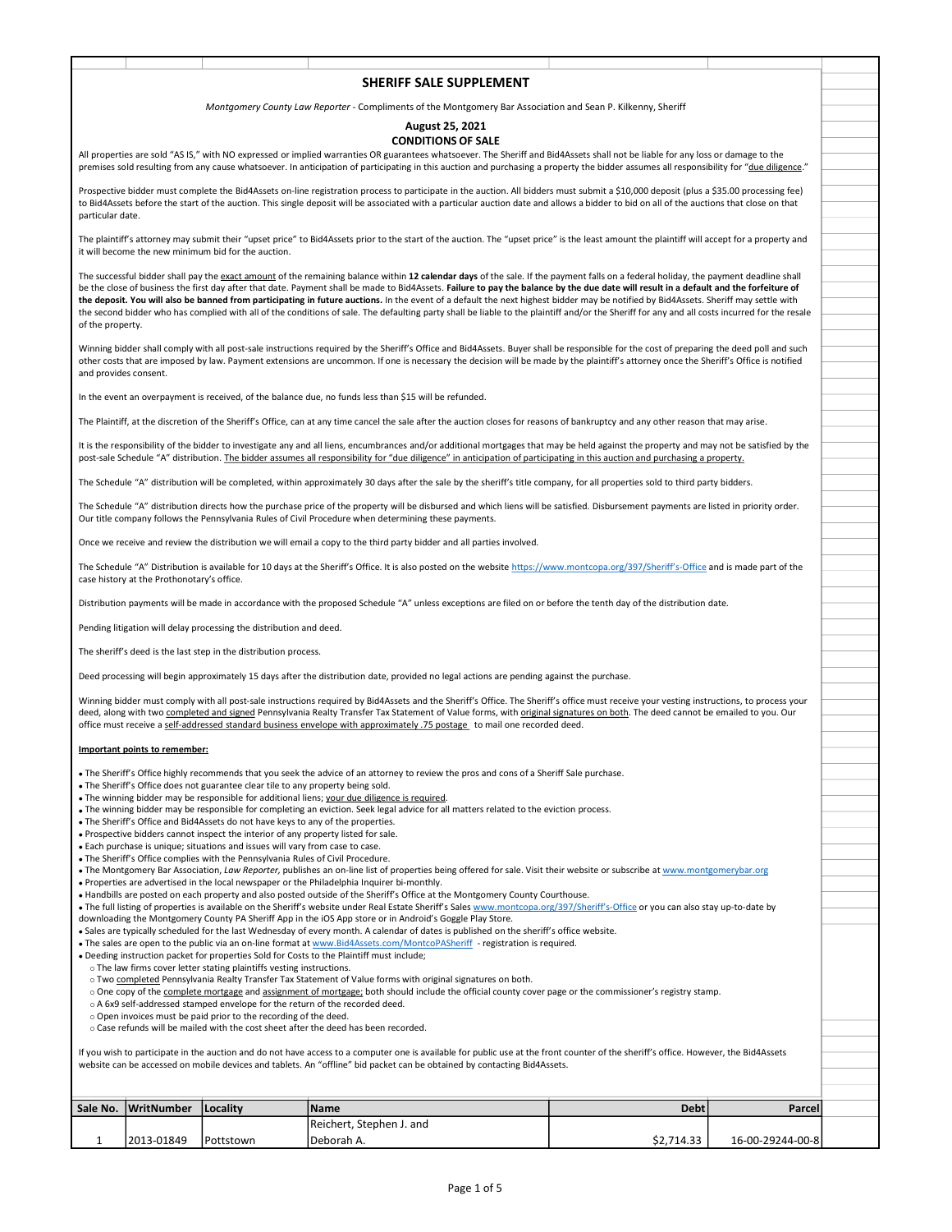## SHERIFF SALE SUPPLEMENT Montgomery County Law Reporter - Compliments of the Montgomery Bar Association and Sean P. Kilkenny, Sheriff August 25, 2021 CONDITIONS OF SALE<br>All properties are sold "AS IS," with NO expressed or implied warranties OR guarantees whatsoever. The Sheriff and Bid4Assets shall not be liable for any loss or damage to the **SHERIFF SALE SUPPLEMENT**<br>
Montgomery County Law Reporter - Compliments of the Montgomery Bar Association and Sean P. Kilkenny, Sheriff<br> **All properties are sold "AS IS," with NO expressed or implied warranties OR guarante SHERIFF SALE SUPPLEMENT**<br>
Montgomery County Law Reporter - Compliments of the Montgomery Bar Association and Sean P. Kilkenny, Sheriff<br>
All properties are aold "AS IS," with NO expressed or implied warranties CONDITIONS O Prospective bidder must complete the Bid4Assets on-line registration process to participate in the auction. All bidders must submit a \$10,000 deposit (plus a \$35.00 processing fee) to Bid4Assets before the start of the auction. This single deposit will be associated with a particular auction date and allows a bidder to bid on all of the auctions that close on that particular date. SHERIFF SALE SUPPLEMENT<br>
Microsphere are old "AS IS," with NO opposed or implied varianties and the Montgomery Sar Association and Scan P. Kilknew, Sheriff<br> **CONDITIONS OF SALE**<br>
CONDITIONS OF SALE<br>
members and trading fro **SHERIFF SALE SUPPLEMENT**<br>
Microsephery County Low Reporter - Compliments of the Montgomery Bar Association and Sean P. Kilkenny, Sheriff<br>
Alignosethis are not 245 th, with N organized or implied worments on BQMM125, 2021<br> SHERIFF SALE SUPPLEMENT<br>Mentgomery County Law Reporter - Compliments of Reporter Social Englishers and Sean P. Kilkenny, Steriff<br>All properties are old "AS IS," with ND expressed or mightel warrantes of Reporters or Notes the second bidder who has complied with all of the conditions of sale. The defaulting party shall be liable to the plaintiff and/or the Sheriff for any and all costs incurred for the resale of the property. Winning bidder shall comply with all post-sale instructions required by the Sheriff's Office and Bid4Assets. Buyer shall be responsible for the cost of preparing the deed poll and such other costs that are imposed by law. Payment extensions are uncommon. If one is necessary the decision will be made by the plaintiff's attorney once the Sheriff's Office is notified and provides consent. In the event an overpayment is received, of the balance due, no funds less than \$15 will be refunded. The Plaintiff, at the discretion of the Sheriff's Office, can at any time cancel the sale after the auction closes for reasons of bankruptcy and any other reason that may arise. It is the responsibility of the bidder to investigate any and all liens, encumbrances and/or additional mortgages that may be held against the property and may not be satisfied by the post-sale Schedule "A" distribution. The bidder assumes all responsibility for "due diligence" in anticipation of participating in this auction and purchasing a property. Mengovery Contry to a Report of the Metamphemia of the Metaphemia Party of Alberta Delay (Seheman Metaphemia 24, 2002)<br>Af properties will be complete the shellest will be company to a degree of the state of the shellest wi The Schedule "A" distribution directs how the purchase price of the property will be disbursed and which liens will be satisfied. Disbursement payments are listed in priority order. Our title company follows the Pennsylvania Rules of Civil Procedure when determining these payments. Once we receive and review the distribution we will email a copy to the third party bidder and all parties involved. The Schedule "A" Distribution is available for 10 days at the Sheriff's Office. It is also posted on the website https://www.montcopa.org/397/Sheriff's-Office and is made part of the case history at the Prothonotary's office. Distribution payments will be made in accordance with the proposed Schedule "A" unless exceptions are filed on or before the tenth day of the distribution date. Pending litigation will delay processing the distribution and deed. The sheriff's deed is the last step in the distribution process. Deed processing will begin approximately 15 days after the distribution date, provided no legal actions are pending against the purchase. We are the detection of the complete with all of the constant of sixthetic post-sale instructions required by Bid4Assets and the Sheriford of the Sheriford of the Sheriford of the Sheriford of the Sheriford of the Sherifor of the popern.<br>Working axies dail compley with a ligast calculation required by the 3 set of this is a realty to disciple with two complete the next of the complete the signal of the complete and signal of the complete the office must receive a self-addressed standard business envelope with approximately .75 postage to mail one recorded deed. Important points to remember: The Sheriff's Office highly recommends that you seek the advice of an attorney to review the pros and cons of a Sheriff Sale purchase. The Sheriff's Office does not guarantee clear tile to any property being sold. The winning bidder may be responsible for additional liens; your due diligence is required. The winning bidder may be responsible for completing an eviction. Seek legal advice for all matters related to the eviction process. The Sheriff's Office and Bid4Assets do not have keys to any of the properties. Prospective bidders cannot inspect the interior of any property listed for sale. Each purchase is unique; situations and issues will vary from case to case. The Sheriff's Office complies with the Pennsylvania Rules of Civil Procedure. . The Montgomery Bar Association, Law Reporter, publishes an on-line list of properties being offered for sale. Visit their website or subscribe at www.montgomerybar.org Properties are advertised in the local newspaper or the Philadelphia Inquirer bi-monthly. . Handbills are posted on each property and also posted outside of the Sheriff's Office at the Montgomery County Courthouse. The full listing of properties is available on the Sheriff's website under Real Estate Sheriff's Sales www.montcopa.org/397/Sheriff's-Office or you can also stay up-to-date by downloading the Montgomery County PA Sheriff App in the iOS App store or in Android's Goggle Play Store.<br>• Sales are typically scheduled for the last Wednesday of every month. A calendar of dates is published on the sherif Once a reache of the formula is a matrix control to the particle and similar the formula in the state of the control on the formula in the formula in the control of the control of the control of the control on the control If you wish to participate in the auction and do not have access to a computer one is available for public use at the front counter of the sheriff's office. However, the Bid4Assets website can be accessed on mobile devices and tablets. An "offline" bid packet can be obtained by contacting Bid4Assets.

| Sale No.   WritNumber | <b>Locality</b> | <i>Name</i>              | <b>Debt</b> | Parcel           |  |
|-----------------------|-----------------|--------------------------|-------------|------------------|--|
|                       |                 | Reichert, Stephen J. and |             |                  |  |
| 12013-01849           | Pottstown       | 'Deborah A.              | \$2,714.33  | 16-00-29244-00-8 |  |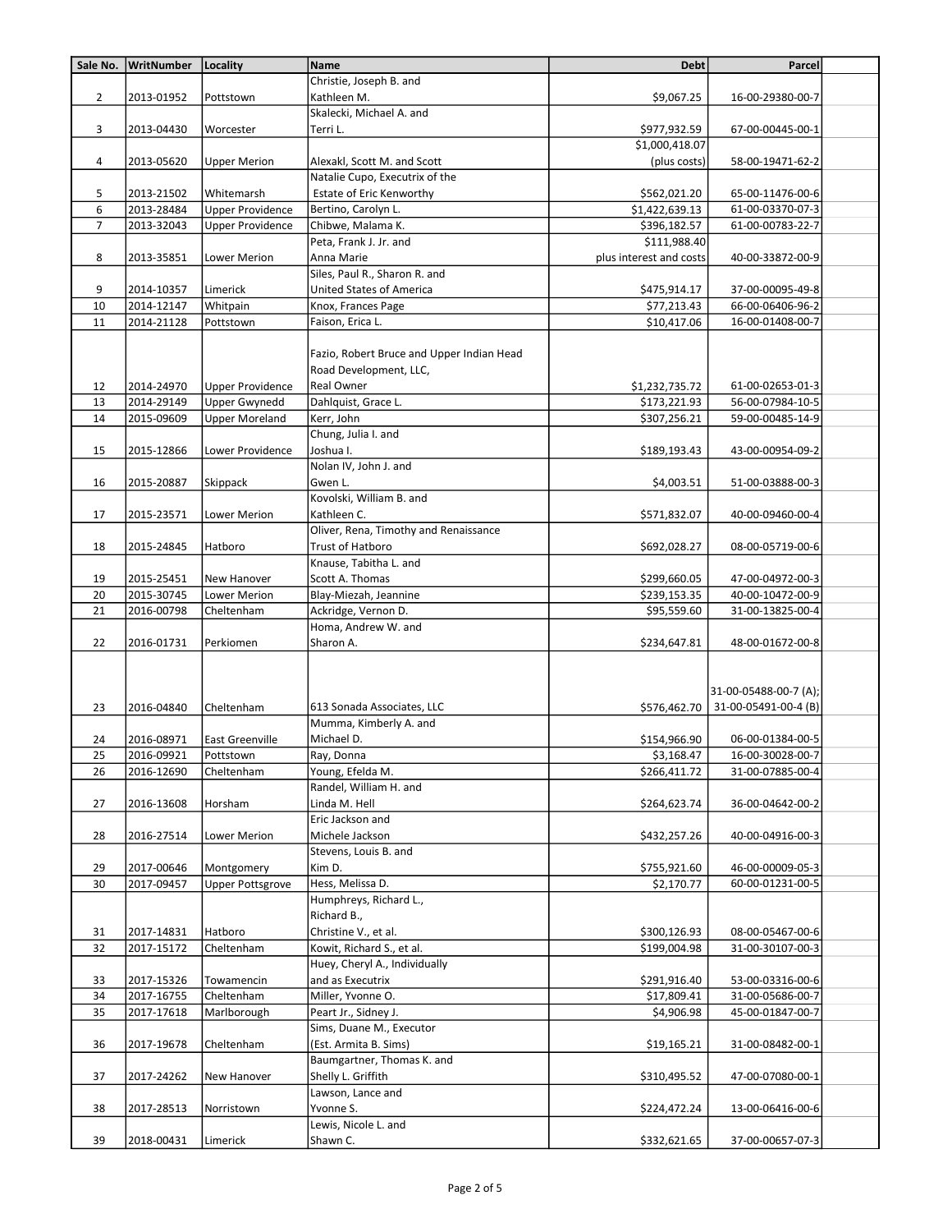| Sale No.       | WritNumber | Locality                | <b>Name</b>                               | <b>Debt</b>             | Parcel                            |  |
|----------------|------------|-------------------------|-------------------------------------------|-------------------------|-----------------------------------|--|
|                |            |                         | Christie, Joseph B. and                   |                         |                                   |  |
| $\overline{2}$ | 2013-01952 | Pottstown               | Kathleen M.                               | \$9,067.25              | 16-00-29380-00-7                  |  |
|                |            |                         | Skalecki, Michael A. and                  |                         |                                   |  |
| 3              | 2013-04430 | Worcester               | Terri L.                                  | \$977,932.59            | 67-00-00445-00-1                  |  |
|                |            |                         |                                           | \$1,000,418.07          |                                   |  |
| 4              | 2013-05620 | <b>Upper Merion</b>     | Alexakl, Scott M. and Scott               | (plus costs)            | 58-00-19471-62-2                  |  |
|                |            |                         | Natalie Cupo, Executrix of the            |                         |                                   |  |
| 5              | 2013-21502 | Whitemarsh              | Estate of Eric Kenworthy                  | \$562,021.20            | 65-00-11476-00-6                  |  |
| 6              | 2013-28484 | <b>Upper Providence</b> | Bertino, Carolyn L.                       | \$1,422,639.13          | 61-00-03370-07-3                  |  |
| $\overline{7}$ | 2013-32043 | <b>Upper Providence</b> | Chibwe, Malama K.                         | \$396,182.57            | 61-00-00783-22-7                  |  |
|                |            |                         | Peta, Frank J. Jr. and                    | \$111,988.40            |                                   |  |
| 8              | 2013-35851 | Lower Merion            | Anna Marie                                | plus interest and costs | 40-00-33872-00-9                  |  |
|                |            |                         | Siles, Paul R., Sharon R. and             |                         |                                   |  |
| 9              | 2014-10357 | Limerick                | United States of America                  | \$475,914.17            | 37-00-00095-49-8                  |  |
| 10             | 2014-12147 | Whitpain                | Knox, Frances Page                        | \$77,213.43             | 66-00-06406-96-2                  |  |
| 11             | 2014-21128 | Pottstown               | Faison, Erica L.                          | \$10,417.06             | 16-00-01408-00-7                  |  |
|                |            |                         |                                           |                         |                                   |  |
|                |            |                         | Fazio, Robert Bruce and Upper Indian Head |                         |                                   |  |
|                |            |                         | Road Development, LLC,                    |                         |                                   |  |
| 12             | 2014-24970 | <b>Upper Providence</b> | Real Owner                                | \$1,232,735.72          | 61-00-02653-01-3                  |  |
| 13             | 2014-29149 | <b>Upper Gwynedd</b>    | Dahlquist, Grace L.                       | \$173,221.93            | 56-00-07984-10-5                  |  |
| 14             | 2015-09609 | <b>Upper Moreland</b>   | Kerr, John                                | \$307,256.21            | 59-00-00485-14-9                  |  |
|                |            |                         | Chung, Julia I. and                       |                         |                                   |  |
|                |            |                         |                                           |                         |                                   |  |
| 15             | 2015-12866 | Lower Providence        | Joshua I.                                 | \$189,193.43            | 43-00-00954-09-2                  |  |
|                |            |                         | Nolan IV, John J. and                     |                         |                                   |  |
| 16             | 2015-20887 | Skippack                | Gwen L.                                   | \$4,003.51              | 51-00-03888-00-3                  |  |
|                |            |                         | Kovolski, William B. and                  |                         |                                   |  |
| 17             | 2015-23571 | Lower Merion            | Kathleen C.                               | \$571,832.07            | 40-00-09460-00-4                  |  |
|                |            |                         | Oliver, Rena, Timothy and Renaissance     |                         |                                   |  |
| 18             | 2015-24845 | Hatboro                 | Trust of Hatboro                          | \$692,028.27            | 08-00-05719-00-6                  |  |
|                |            |                         | Knause, Tabitha L. and                    |                         |                                   |  |
| 19             | 2015-25451 | New Hanover             | Scott A. Thomas                           | \$299,660.05            | 47-00-04972-00-3                  |  |
| 20             | 2015-30745 | Lower Merion            | Blay-Miezah, Jeannine                     | \$239,153.35            | 40-00-10472-00-9                  |  |
| 21             | 2016-00798 | Cheltenham              | Ackridge, Vernon D.                       | \$95,559.60             | 31-00-13825-00-4                  |  |
|                |            |                         | Homa, Andrew W. and                       |                         |                                   |  |
| 22             | 2016-01731 | Perkiomen               | Sharon A.                                 | \$234,647.81            | 48-00-01672-00-8                  |  |
|                |            |                         |                                           |                         |                                   |  |
|                |            |                         |                                           |                         | 31-00-05488-00-7 (A);             |  |
| 23             | 2016-04840 | Cheltenham              | 613 Sonada Associates, LLC                |                         | \$576,462.70 31-00-05491-00-4 (B) |  |
|                |            |                         | Mumma, Kimberly A. and                    |                         |                                   |  |
| 24             | 2016-08971 | <b>East Greenville</b>  | Michael D.                                | \$154,966.90            | 06-00-01384-00-5                  |  |
| 25             | 2016-09921 | Pottstown               | Ray, Donna                                | \$3,168.47              | 16-00-30028-00-7                  |  |
| 26             | 2016-12690 | Cheltenham              | Young, Efelda M.                          | \$266,411.72            | 31-00-07885-00-4                  |  |
|                |            |                         | Randel, William H. and                    |                         |                                   |  |
| 27             | 2016-13608 | Horsham                 | Linda M. Hell                             | \$264,623.74            | 36-00-04642-00-2                  |  |
|                |            |                         | Eric Jackson and                          |                         |                                   |  |
| 28             | 2016-27514 | Lower Merion            | Michele Jackson                           | \$432,257.26            | 40-00-04916-00-3                  |  |
|                |            |                         | Stevens, Louis B. and                     |                         |                                   |  |
| 29             | 2017-00646 | Montgomery              | Kim D.                                    | \$755,921.60            | 46-00-00009-05-3                  |  |
| 30             | 2017-09457 | <b>Upper Pottsgrove</b> | Hess, Melissa D.                          | \$2,170.77              | 60-00-01231-00-5                  |  |
|                |            |                         | Humphreys, Richard L.,                    |                         |                                   |  |
|                |            |                         | Richard B.,                               |                         |                                   |  |
| 31             | 2017-14831 | Hatboro                 | Christine V., et al.                      | \$300,126.93            | 08-00-05467-00-6                  |  |
| 32             | 2017-15172 | Cheltenham              | Kowit, Richard S., et al.                 | \$199,004.98            | 31-00-30107-00-3                  |  |
|                |            |                         | Huey, Cheryl A., Individually             |                         |                                   |  |
| 33             | 2017-15326 | Towamencin              | and as Executrix                          | \$291,916.40            | 53-00-03316-00-6                  |  |
| 34             | 2017-16755 | Cheltenham              | Miller, Yvonne O.                         | \$17,809.41             | 31-00-05686-00-7                  |  |
| 35             | 2017-17618 | Marlborough             | Peart Jr., Sidney J.                      | \$4,906.98              | 45-00-01847-00-7                  |  |
|                |            |                         | Sims, Duane M., Executor                  |                         |                                   |  |
| 36             | 2017-19678 | Cheltenham              | (Est. Armita B. Sims)                     | \$19,165.21             | 31-00-08482-00-1                  |  |
|                |            |                         | Baumgartner, Thomas K. and                |                         |                                   |  |
| 37             | 2017-24262 | New Hanover             | Shelly L. Griffith                        | \$310,495.52            | 47-00-07080-00-1                  |  |
|                |            |                         | Lawson, Lance and                         |                         |                                   |  |
| 38             |            |                         | Yvonne S.                                 |                         | 13-00-06416-00-6                  |  |
|                | 2017-28513 | Norristown              | Lewis, Nicole L. and                      | \$224,472.24            |                                   |  |
| 39             | 2018-00431 | Limerick                | Shawn C.                                  | \$332,621.65            | 37-00-00657-07-3                  |  |
|                |            |                         |                                           |                         |                                   |  |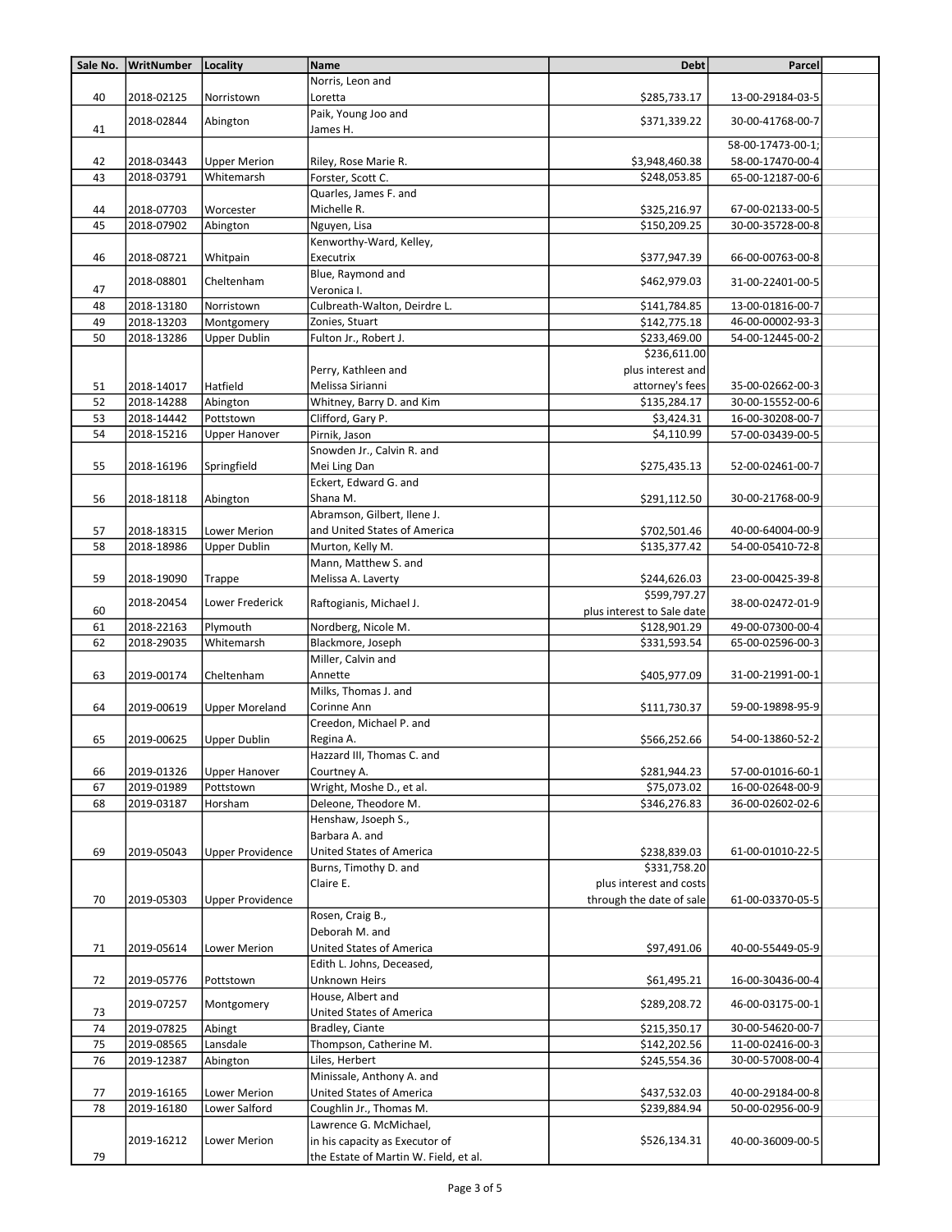| Sale No. | WritNumber | Locality                | <b>Name</b>                                              | <b>Debt</b>                | Parcel            |  |
|----------|------------|-------------------------|----------------------------------------------------------|----------------------------|-------------------|--|
|          |            |                         | Norris, Leon and                                         |                            |                   |  |
| 40       | 2018-02125 | Norristown              | Loretta                                                  | \$285,733.17               | 13-00-29184-03-5  |  |
|          |            |                         | Paik, Young Joo and                                      |                            |                   |  |
| 41       | 2018-02844 | Abington                | James H.                                                 | \$371,339.22               | 30-00-41768-00-7  |  |
|          |            |                         |                                                          |                            | 58-00-17473-00-1; |  |
| 42       | 2018-03443 | <b>Upper Merion</b>     | Riley, Rose Marie R.                                     | \$3,948,460.38             | 58-00-17470-00-4  |  |
| 43       | 2018-03791 | Whitemarsh              | Forster, Scott C.                                        | \$248,053.85               | 65-00-12187-00-6  |  |
|          |            |                         | Quarles, James F. and                                    |                            |                   |  |
| 44       | 2018-07703 | Worcester               | Michelle R.                                              | \$325,216.97               | 67-00-02133-00-5  |  |
| 45       | 2018-07902 | Abington                | Nguyen, Lisa                                             | \$150,209.25               | 30-00-35728-00-8  |  |
|          |            |                         | Kenworthy-Ward, Kelley,                                  |                            |                   |  |
| 46       | 2018-08721 | Whitpain                | Executrix                                                | \$377,947.39               | 66-00-00763-00-8  |  |
|          | 2018-08801 | Cheltenham              | Blue, Raymond and                                        | \$462,979.03               | 31-00-22401-00-5  |  |
| 47       |            |                         | Veronica I.                                              |                            |                   |  |
| 48       | 2018-13180 | Norristown              | Culbreath-Walton, Deirdre L.                             | \$141,784.85               | 13-00-01816-00-7  |  |
| 49       | 2018-13203 | Montgomery              | Zonies, Stuart                                           | \$142,775.18               | 46-00-00002-93-3  |  |
| 50       | 2018-13286 | <b>Upper Dublin</b>     | Fulton Jr., Robert J.                                    | \$233,469.00               | 54-00-12445-00-2  |  |
|          |            |                         |                                                          | \$236,611.00               |                   |  |
|          |            |                         | Perry, Kathleen and                                      | plus interest and          |                   |  |
| 51       | 2018-14017 | Hatfield                | Melissa Sirianni                                         | attorney's fees            | 35-00-02662-00-3  |  |
| 52       | 2018-14288 | Abington                | Whitney, Barry D. and Kim                                | \$135,284.17               | 30-00-15552-00-6  |  |
| 53       | 2018-14442 | Pottstown               | Clifford, Gary P.                                        | \$3,424.31                 | 16-00-30208-00-7  |  |
| 54       | 2018-15216 | <b>Upper Hanover</b>    | Pirnik, Jason                                            | \$4,110.99                 | 57-00-03439-00-5  |  |
|          |            |                         | Snowden Jr., Calvin R. and                               |                            |                   |  |
| 55       | 2018-16196 | Springfield             | Mei Ling Dan                                             | \$275,435.13               | 52-00-02461-00-7  |  |
|          |            |                         | Eckert, Edward G. and                                    |                            |                   |  |
| 56       | 2018-18118 | Abington                | Shana M.                                                 | \$291,112.50               | 30-00-21768-00-9  |  |
|          |            |                         | Abramson, Gilbert, Ilene J.                              |                            |                   |  |
| 57       | 2018-18315 | Lower Merion            | and United States of America                             | \$702,501.46               | 40-00-64004-00-9  |  |
| 58       | 2018-18986 | <b>Upper Dublin</b>     | Murton, Kelly M.                                         | \$135,377.42               | 54-00-05410-72-8  |  |
|          |            |                         | Mann, Matthew S. and                                     |                            |                   |  |
| 59       | 2018-19090 | Trappe                  | Melissa A. Laverty                                       | \$244,626.03               | 23-00-00425-39-8  |  |
|          | 2018-20454 | Lower Frederick         | Raftogianis, Michael J.                                  | \$599,797.27               | 38-00-02472-01-9  |  |
| 60       |            |                         |                                                          | plus interest to Sale date |                   |  |
| 61       | 2018-22163 | Plymouth                | Nordberg, Nicole M.                                      | \$128,901.29               | 49-00-07300-00-4  |  |
| 62       | 2018-29035 | Whitemarsh              | Blackmore, Joseph                                        | \$331,593.54               | 65-00-02596-00-3  |  |
|          |            |                         | Miller, Calvin and                                       |                            |                   |  |
| 63       | 2019-00174 | Cheltenham              | Annette                                                  | \$405,977.09               | 31-00-21991-00-1  |  |
|          |            |                         | Milks, Thomas J. and                                     |                            |                   |  |
| 64       | 2019-00619 | <b>Upper Moreland</b>   | Corinne Ann                                              | \$111,730.37               | 59-00-19898-95-9  |  |
|          |            |                         | Creedon, Michael P. and                                  |                            |                   |  |
| 65       | 2019-00625 | <b>Upper Dublin</b>     | Regina A.                                                | \$566,252.66               | 54-00-13860-52-2  |  |
|          |            |                         | Hazzard III, Thomas C. and                               |                            |                   |  |
| 66       | 2019-01326 | <b>Upper Hanover</b>    | Courtney A.                                              | \$281,944.23               | 57-00-01016-60-1  |  |
| 67       | 2019-01989 | Pottstown               | Wright, Moshe D., et al.                                 | \$75,073.02                | 16-00-02648-00-9  |  |
| 68       | 2019-03187 | Horsham                 | Deleone, Theodore M.                                     | \$346,276.83               | 36-00-02602-02-6  |  |
|          |            |                         | Henshaw, Jsoeph S.,                                      |                            |                   |  |
|          |            |                         | Barbara A. and                                           | \$238,839.03               |                   |  |
| 69       | 2019-05043 | <b>Upper Providence</b> | <b>United States of America</b><br>Burns, Timothy D. and | \$331,758.20               | 61-00-01010-22-5  |  |
|          |            |                         | Claire E.                                                | plus interest and costs    |                   |  |
|          | 2019-05303 |                         |                                                          | through the date of sale   | 61-00-03370-05-5  |  |
| 70       |            | <b>Upper Providence</b> | Rosen, Craig B.,                                         |                            |                   |  |
|          |            |                         | Deborah M. and                                           |                            |                   |  |
| 71       | 2019-05614 | Lower Merion            | United States of America                                 | \$97,491.06                | 40-00-55449-05-9  |  |
|          |            |                         | Edith L. Johns, Deceased,                                |                            |                   |  |
| 72       | 2019-05776 | Pottstown               | Unknown Heirs                                            | \$61,495.21                | 16-00-30436-00-4  |  |
|          |            |                         | House, Albert and                                        |                            |                   |  |
| 73       | 2019-07257 | Montgomery              | United States of America                                 | \$289,208.72               | 46-00-03175-00-1  |  |
| 74       | 2019-07825 | Abingt                  | Bradley, Ciante                                          | \$215,350.17               | 30-00-54620-00-7  |  |
| 75       | 2019-08565 | Lansdale                | Thompson, Catherine M.                                   | \$142,202.56               | 11-00-02416-00-3  |  |
| 76       | 2019-12387 | Abington                | Liles, Herbert                                           | \$245,554.36               | 30-00-57008-00-4  |  |
|          |            |                         | Minissale, Anthony A. and                                |                            |                   |  |
| 77       | 2019-16165 | <b>Lower Merion</b>     | United States of America                                 | \$437,532.03               | 40-00-29184-00-8  |  |
| 78       | 2019-16180 | Lower Salford           | Coughlin Jr., Thomas M.                                  | \$239,884.94               | 50-00-02956-00-9  |  |
|          |            |                         | Lawrence G. McMichael,                                   |                            |                   |  |
|          | 2019-16212 | Lower Merion            | in his capacity as Executor of                           | \$526,134.31               | 40-00-36009-00-5  |  |
| 79       |            |                         | the Estate of Martin W. Field, et al.                    |                            |                   |  |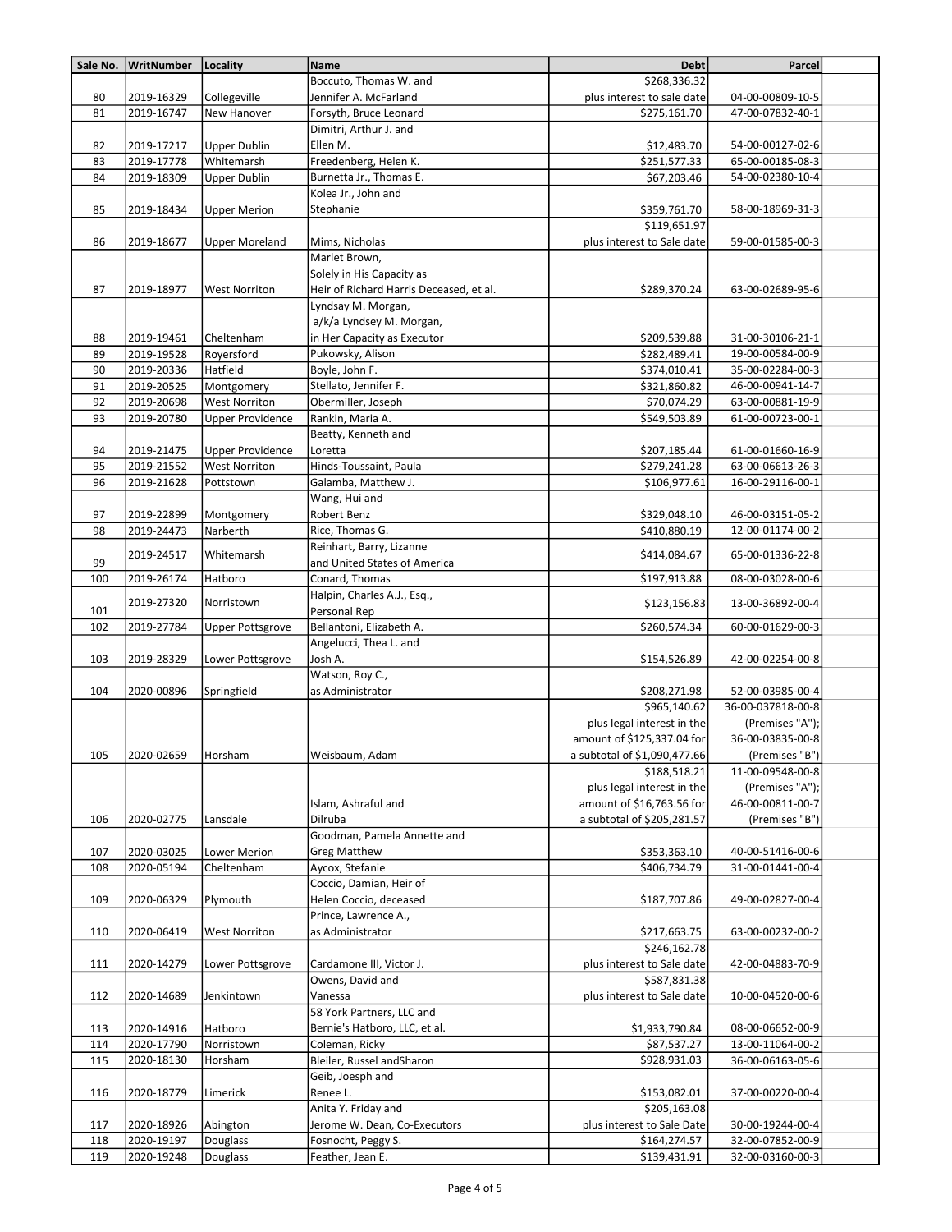| Sale No. | WritNumber               | Locality                | <b>Name</b>                                | <b>Debt</b>                  | Parcel                               |  |
|----------|--------------------------|-------------------------|--------------------------------------------|------------------------------|--------------------------------------|--|
|          |                          |                         | Boccuto, Thomas W. and                     | \$268,336.32                 |                                      |  |
| 80       | 2019-16329               | Collegeville            | Jennifer A. McFarland                      | plus interest to sale date   | 04-00-00809-10-5                     |  |
| 81       | 2019-16747               | New Hanover             | Forsyth, Bruce Leonard                     | \$275,161.70                 | 47-00-07832-40-1                     |  |
|          |                          |                         | Dimitri, Arthur J. and                     |                              |                                      |  |
| 82       | 2019-17217               | <b>Upper Dublin</b>     | Ellen M.                                   | \$12,483.70                  | 54-00-00127-02-6                     |  |
| 83       | 2019-17778               | Whitemarsh              | Freedenberg, Helen K.                      | \$251,577.33                 | 65-00-00185-08-3                     |  |
| 84       | 2019-18309               | <b>Upper Dublin</b>     | Burnetta Jr., Thomas E.                    | \$67,203.46                  | 54-00-02380-10-4                     |  |
|          |                          |                         | Kolea Jr., John and                        |                              |                                      |  |
| 85       | 2019-18434               | <b>Upper Merion</b>     | Stephanie                                  | \$359,761.70                 | 58-00-18969-31-3                     |  |
|          |                          |                         |                                            | \$119,651.97                 |                                      |  |
| 86       | 2019-18677               | <b>Upper Moreland</b>   | Mims, Nicholas                             | plus interest to Sale date   | 59-00-01585-00-3                     |  |
|          |                          |                         | Marlet Brown,                              |                              |                                      |  |
|          |                          |                         | Solely in His Capacity as                  |                              |                                      |  |
| 87       | 2019-18977               | <b>West Norriton</b>    | Heir of Richard Harris Deceased, et al.    | \$289,370.24                 | 63-00-02689-95-6                     |  |
|          |                          |                         | Lyndsay M. Morgan,                         |                              |                                      |  |
|          |                          |                         | a/k/a Lyndsey M. Morgan,                   |                              |                                      |  |
| 88       | 2019-19461               | Cheltenham              | in Her Capacity as Executor                | \$209,539.88                 | 31-00-30106-21-1                     |  |
| 89       | 2019-19528               | Royersford              | Pukowsky, Alison                           | \$282,489.41                 | 19-00-00584-00-9                     |  |
| 90       | 2019-20336               | Hatfield                | Boyle, John F.                             | \$374,010.41                 | 35-00-02284-00-3                     |  |
| 91       | 2019-20525               | Montgomery              | Stellato, Jennifer F.                      | \$321,860.82                 | 46-00-00941-14-7                     |  |
| 92       | 2019-20698               | <b>West Norriton</b>    | Obermiller, Joseph                         | \$70,074.29                  | 63-00-00881-19-9                     |  |
| 93       | 2019-20780               | <b>Upper Providence</b> | Rankin, Maria A.                           | \$549,503.89                 | 61-00-00723-00-1                     |  |
|          |                          |                         | Beatty, Kenneth and                        |                              |                                      |  |
| 94       | 2019-21475               | <b>Upper Providence</b> | Loretta                                    | \$207,185.44                 | 61-00-01660-16-9                     |  |
| 95       | 2019-21552               | <b>West Norriton</b>    | Hinds-Toussaint, Paula                     | \$279,241.28                 | 63-00-06613-26-3                     |  |
| 96       | 2019-21628               | Pottstown               | Galamba, Matthew J.                        | \$106,977.61                 | 16-00-29116-00-1                     |  |
|          |                          |                         | Wang, Hui and                              |                              |                                      |  |
| 97<br>98 | 2019-22899<br>2019-24473 | Montgomery<br>Narberth  | Robert Benz<br>Rice, Thomas G.             | \$329,048.10<br>\$410,880.19 | 46-00-03151-05-2<br>12-00-01174-00-2 |  |
|          |                          |                         | Reinhart, Barry, Lizanne                   |                              |                                      |  |
| 99       | 2019-24517               | Whitemarsh              | and United States of America               | \$414,084.67                 | 65-00-01336-22-8                     |  |
| 100      | 2019-26174               | Hatboro                 | Conard, Thomas                             | \$197,913.88                 | 08-00-03028-00-6                     |  |
|          |                          |                         | Halpin, Charles A.J., Esq.,                |                              |                                      |  |
| 101      | 2019-27320               | Norristown              | Personal Rep                               | \$123,156.83                 | 13-00-36892-00-4                     |  |
| 102      | 2019-27784               | <b>Upper Pottsgrove</b> | Bellantoni, Elizabeth A.                   | \$260,574.34                 | 60-00-01629-00-3                     |  |
|          |                          |                         | Angelucci, Thea L. and                     |                              |                                      |  |
| 103      | 2019-28329               | Lower Pottsgrove        | Josh A.                                    | \$154,526.89                 | 42-00-02254-00-8                     |  |
|          |                          |                         | Watson, Roy C.,                            |                              |                                      |  |
| 104      | 2020-00896               | Springfield             | as Administrator                           | \$208,271.98                 | 52-00-03985-00-4                     |  |
|          |                          |                         |                                            | \$965,140.62                 | 36-00-037818-00-8                    |  |
|          |                          |                         |                                            | plus legal interest in the   | (Premises "A");                      |  |
|          |                          |                         |                                            | amount of \$125,337.04 for   | 36-00-03835-00-8                     |  |
| 105      | 2020-02659               | Horsham                 | Weisbaum, Adam                             | a subtotal of \$1,090,477.66 | (Premises "B")                       |  |
|          |                          |                         |                                            | \$188,518.21                 | 11-00-09548-00-8                     |  |
|          |                          |                         |                                            | plus legal interest in the   | (Premises "A");                      |  |
|          |                          |                         | Islam, Ashraful and                        | amount of \$16,763.56 for    | 46-00-00811-00-7                     |  |
| 106      | 2020-02775               | Lansdale                | Dilruba                                    | a subtotal of \$205,281.57   | (Premises "B")                       |  |
|          |                          |                         | Goodman, Pamela Annette and                |                              |                                      |  |
| 107      | 2020-03025               | Lower Merion            | <b>Greg Matthew</b>                        | \$353,363.10                 | 40-00-51416-00-6<br>31-00-01441-00-4 |  |
| 108      | 2020-05194               | Cheltenham              | Aycox, Stefanie<br>Coccio, Damian, Heir of | \$406,734.79                 |                                      |  |
| 109      | 2020-06329               | Plymouth                | Helen Coccio, deceased                     | \$187,707.86                 | 49-00-02827-00-4                     |  |
|          |                          |                         | Prince, Lawrence A.,                       |                              |                                      |  |
| 110      | 2020-06419               | <b>West Norriton</b>    | as Administrator                           | \$217,663.75                 | 63-00-00232-00-2                     |  |
|          |                          |                         |                                            | \$246,162.78                 |                                      |  |
| 111      | 2020-14279               | Lower Pottsgrove        | Cardamone III, Victor J.                   | plus interest to Sale date   | 42-00-04883-70-9                     |  |
|          |                          |                         | Owens, David and                           | \$587,831.38                 |                                      |  |
| 112      | 2020-14689               | Jenkintown              | Vanessa                                    | plus interest to Sale date   | 10-00-04520-00-6                     |  |
|          |                          |                         | 58 York Partners, LLC and                  |                              |                                      |  |
| 113      | 2020-14916               | Hatboro                 | Bernie's Hatboro, LLC, et al.              | \$1,933,790.84               | 08-00-06652-00-9                     |  |
| 114      | 2020-17790               | Norristown              | Coleman, Ricky                             | \$87,537.27                  | 13-00-11064-00-2                     |  |
| 115      | 2020-18130               | Horsham                 | Bleiler, Russel andSharon                  | \$928,931.03                 | 36-00-06163-05-6                     |  |
|          |                          |                         | Geib, Joesph and                           |                              |                                      |  |
| 116      | 2020-18779               | Limerick                | Renee L.                                   | \$153,082.01                 | 37-00-00220-00-4                     |  |
|          |                          |                         | Anita Y. Friday and                        | \$205,163.08                 |                                      |  |
| 117      | 2020-18926               | Abington                | Jerome W. Dean, Co-Executors               | plus interest to Sale Date   | 30-00-19244-00-4                     |  |
| 118      | 2020-19197               | Douglass                | Fosnocht, Peggy S.                         | \$164,274.57                 | 32-00-07852-00-9                     |  |
| 119      | 2020-19248               | Douglass                | Feather, Jean E.                           | \$139,431.91                 | 32-00-03160-00-3                     |  |